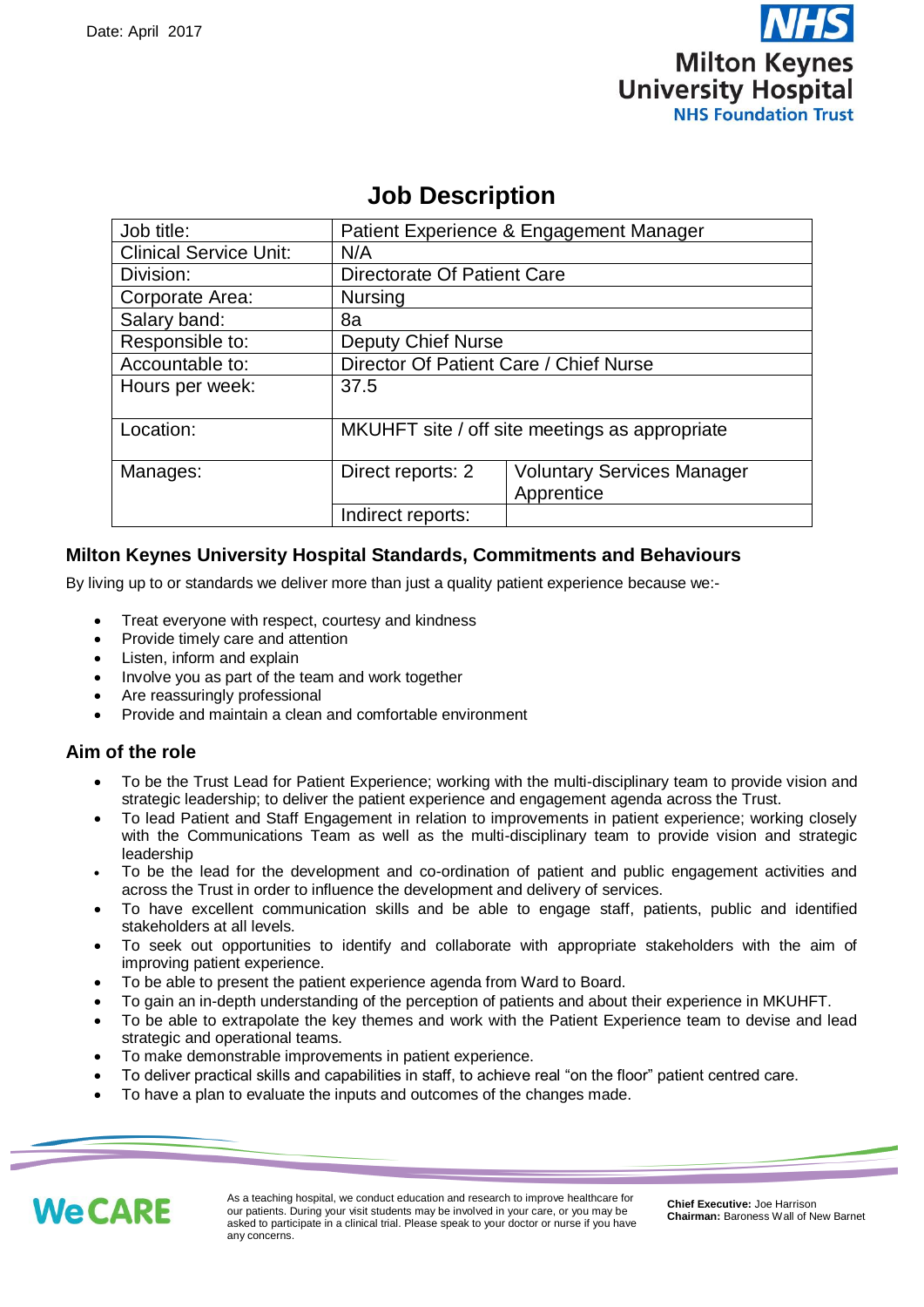

# **Job Description**

| Job title:                    | Patient Experience & Engagement Manager        |                                                 |  |
|-------------------------------|------------------------------------------------|-------------------------------------------------|--|
| <b>Clinical Service Unit:</b> | N/A                                            |                                                 |  |
| Division:                     | Directorate Of Patient Care                    |                                                 |  |
| Corporate Area:               | <b>Nursing</b>                                 |                                                 |  |
| Salary band:                  | 8a                                             |                                                 |  |
| Responsible to:               | <b>Deputy Chief Nurse</b>                      |                                                 |  |
| Accountable to:               | Director Of Patient Care / Chief Nurse         |                                                 |  |
| Hours per week:               | 37.5                                           |                                                 |  |
| Location:                     | MKUHFT site / off site meetings as appropriate |                                                 |  |
| Manages:                      | Direct reports: 2                              | <b>Voluntary Services Manager</b><br>Apprentice |  |
|                               | Indirect reports:                              |                                                 |  |

# **Milton Keynes University Hospital Standards, Commitments and Behaviours**

By living up to or standards we deliver more than just a quality patient experience because we:-

- Treat everyone with respect, courtesy and kindness
- Provide timely care and attention
- Listen, inform and explain
- Involve you as part of the team and work together
- Are reassuringly professional
- Provide and maintain a clean and comfortable environment

# **Aim of the role**

- To be the Trust Lead for Patient Experience; working with the multi-disciplinary team to provide vision and strategic leadership; to deliver the patient experience and engagement agenda across the Trust.
- To lead Patient and Staff Engagement in relation to improvements in patient experience; working closely with the Communications Team as well as the multi-disciplinary team to provide vision and strategic leadership
- To be the lead for the development and co-ordination of patient and public engagement activities and across the Trust in order to influence the development and delivery of services.
- To have excellent communication skills and be able to engage staff, patients, public and identified stakeholders at all levels.
- To seek out opportunities to identify and collaborate with appropriate stakeholders with the aim of improving patient experience.
- To be able to present the patient experience agenda from Ward to Board.
- To gain an in-depth understanding of the perception of patients and about their experience in MKUHFT.
- To be able to extrapolate the key themes and work with the Patient Experience team to devise and lead strategic and operational teams.
- To make demonstrable improvements in patient experience.
- To deliver practical skills and capabilities in staff, to achieve real "on the floor" patient centred care.
- To have a plan to evaluate the inputs and outcomes of the changes made.



1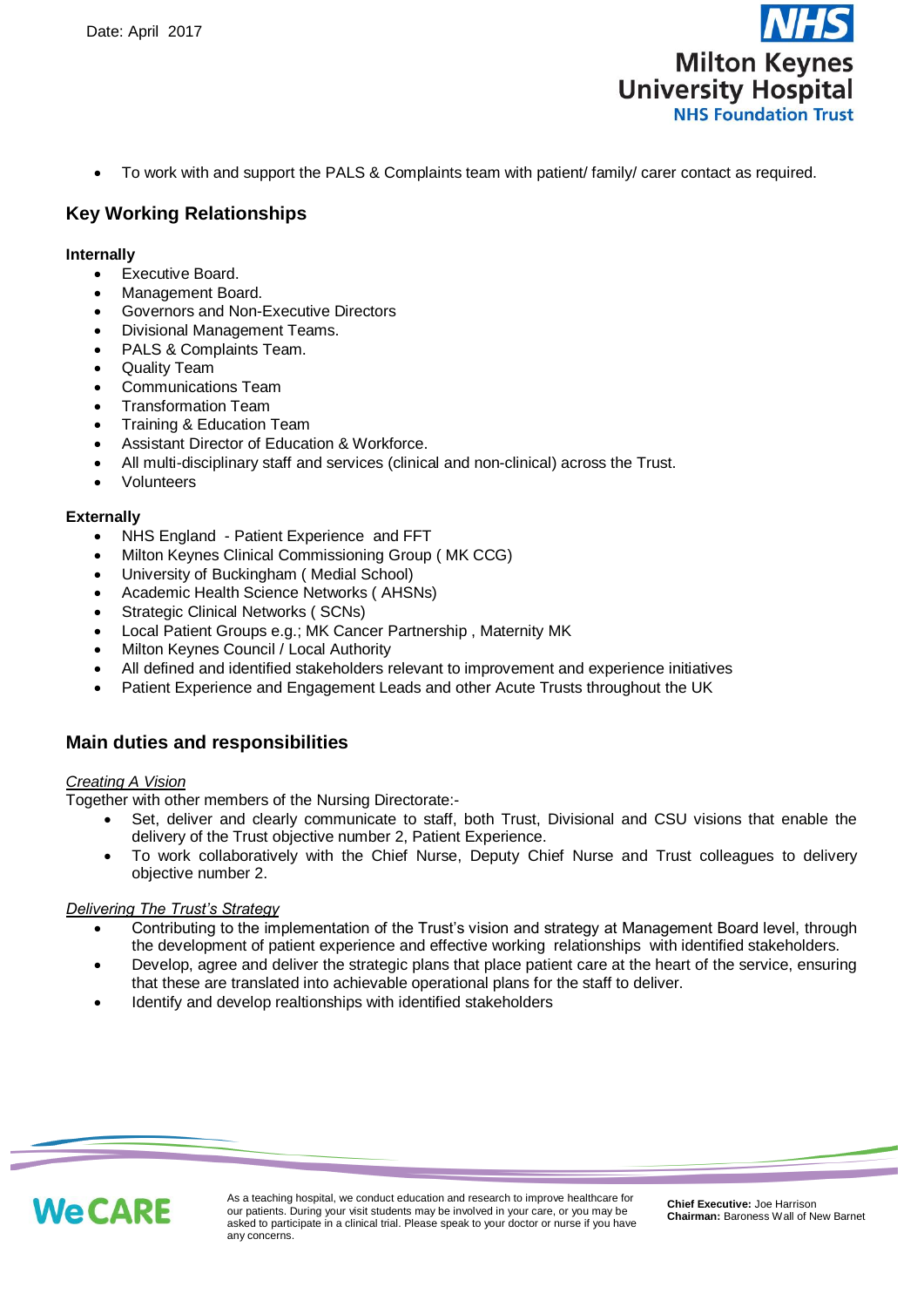

To work with and support the PALS & Complaints team with patient/ family/ carer contact as required.

# **Key Working Relationships**

#### **Internally**

- Executive Board.
- Management Board.
- Governors and Non-Executive Directors
- Divisional Management Teams.
- PALS & Complaints Team.
- Quality Team
- Communications Team
- Transformation Team
- Training & Education Team
- Assistant Director of Education & Workforce.
- All multi-disciplinary staff and services (clinical and non-clinical) across the Trust.
- Volunteers

#### **Externally**

- NHS England Patient Experience and FFT
- Milton Keynes Clinical Commissioning Group ( MK CCG)
- University of Buckingham ( Medial School)
- Academic Health Science Networks ( AHSNs)
- Strategic Clinical Networks ( SCNs)
- Local Patient Groups e.g.; MK Cancer Partnership , Maternity MK
- Milton Keynes Council / Local Authority
- All defined and identified stakeholders relevant to improvement and experience initiatives
- Patient Experience and Engagement Leads and other Acute Trusts throughout the UK

### **Main duties and responsibilities**

#### *Creating A Vision*

Together with other members of the Nursing Directorate:-

- Set, deliver and clearly communicate to staff, both Trust, Divisional and CSU visions that enable the delivery of the Trust objective number 2, Patient Experience.
- To work collaboratively with the Chief Nurse, Deputy Chief Nurse and Trust colleagues to delivery objective number 2.

#### *Delivering The Trust's Strategy*

- Contributing to the implementation of the Trust's vision and strategy at Management Board level, through the development of patient experience and effective working relationships with identified stakeholders.
- Develop, agree and deliver the strategic plans that place patient care at the heart of the service, ensuring that these are translated into achievable operational plans for the staff to deliver.
- Identify and develop realtionships with identified stakeholders



2

As a teaching hospital, we conduct education and research to improve healthcare for our patients. During your visit students may be involved in your care, or you may be asked to participate in a clinical trial. Please speak to your doctor or nurse if you have any concerns.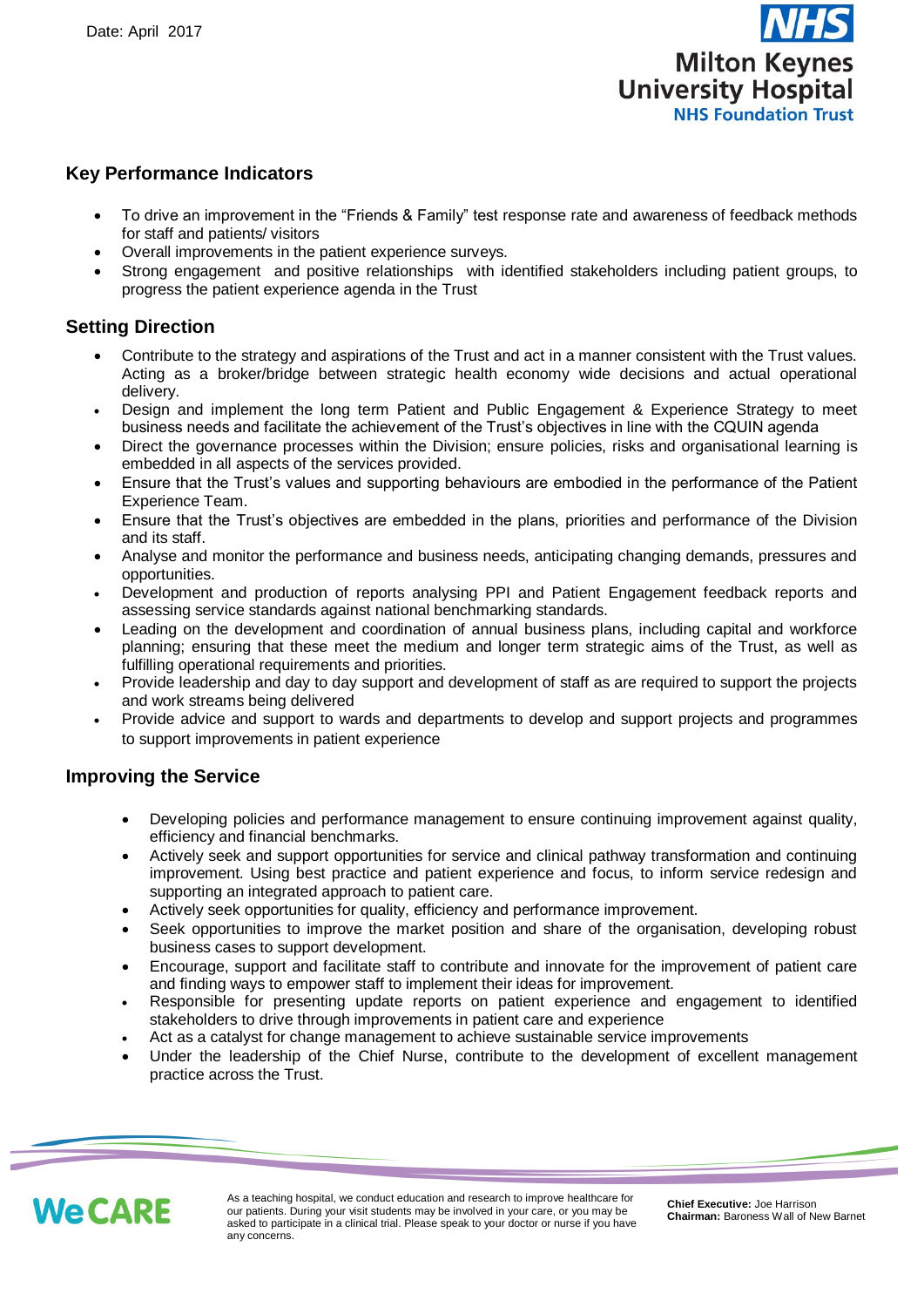

# **Key Performance Indicators**

- To drive an improvement in the "Friends & Family" test response rate and awareness of feedback methods for staff and patients/ visitors
- Overall improvements in the patient experience surveys.
- Strong engagement and positive relationships with identified stakeholders including patient groups, to progress the patient experience agenda in the Trust

# **Setting Direction**

- Contribute to the strategy and aspirations of the Trust and act in a manner consistent with the Trust values. Acting as a broker/bridge between strategic health economy wide decisions and actual operational delivery.
- Design and implement the long term Patient and Public Engagement & Experience Strategy to meet business needs and facilitate the achievement of the Trust's objectives in line with the CQUIN agenda
- Direct the governance processes within the Division; ensure policies, risks and organisational learning is embedded in all aspects of the services provided.
- Ensure that the Trust's values and supporting behaviours are embodied in the performance of the Patient Experience Team.
- Ensure that the Trust's objectives are embedded in the plans, priorities and performance of the Division and its staff.
- Analyse and monitor the performance and business needs, anticipating changing demands, pressures and opportunities.
- Development and production of reports analysing PPI and Patient Engagement feedback reports and assessing service standards against national benchmarking standards.
- Leading on the development and coordination of annual business plans, including capital and workforce planning; ensuring that these meet the medium and longer term strategic aims of the Trust, as well as fulfilling operational requirements and priorities.
- Provide leadership and day to day support and development of staff as are required to support the projects and work streams being delivered
- Provide advice and support to wards and departments to develop and support projects and programmes to support improvements in patient experience

# **Improving the Service**

- Developing policies and performance management to ensure continuing improvement against quality, efficiency and financial benchmarks.
- Actively seek and support opportunities for service and clinical pathway transformation and continuing improvement. Using best practice and patient experience and focus, to inform service redesign and supporting an integrated approach to patient care.
- Actively seek opportunities for quality, efficiency and performance improvement.
- Seek opportunities to improve the market position and share of the organisation, developing robust business cases to support development.
- Encourage, support and facilitate staff to contribute and innovate for the improvement of patient care and finding ways to empower staff to implement their ideas for improvement.
- Responsible for presenting update reports on patient experience and engagement to identified stakeholders to drive through improvements in patient care and experience
- Act as a catalyst for change management to achieve sustainable service improvements
- Under the leadership of the Chief Nurse, contribute to the development of excellent management practice across the Trust.



3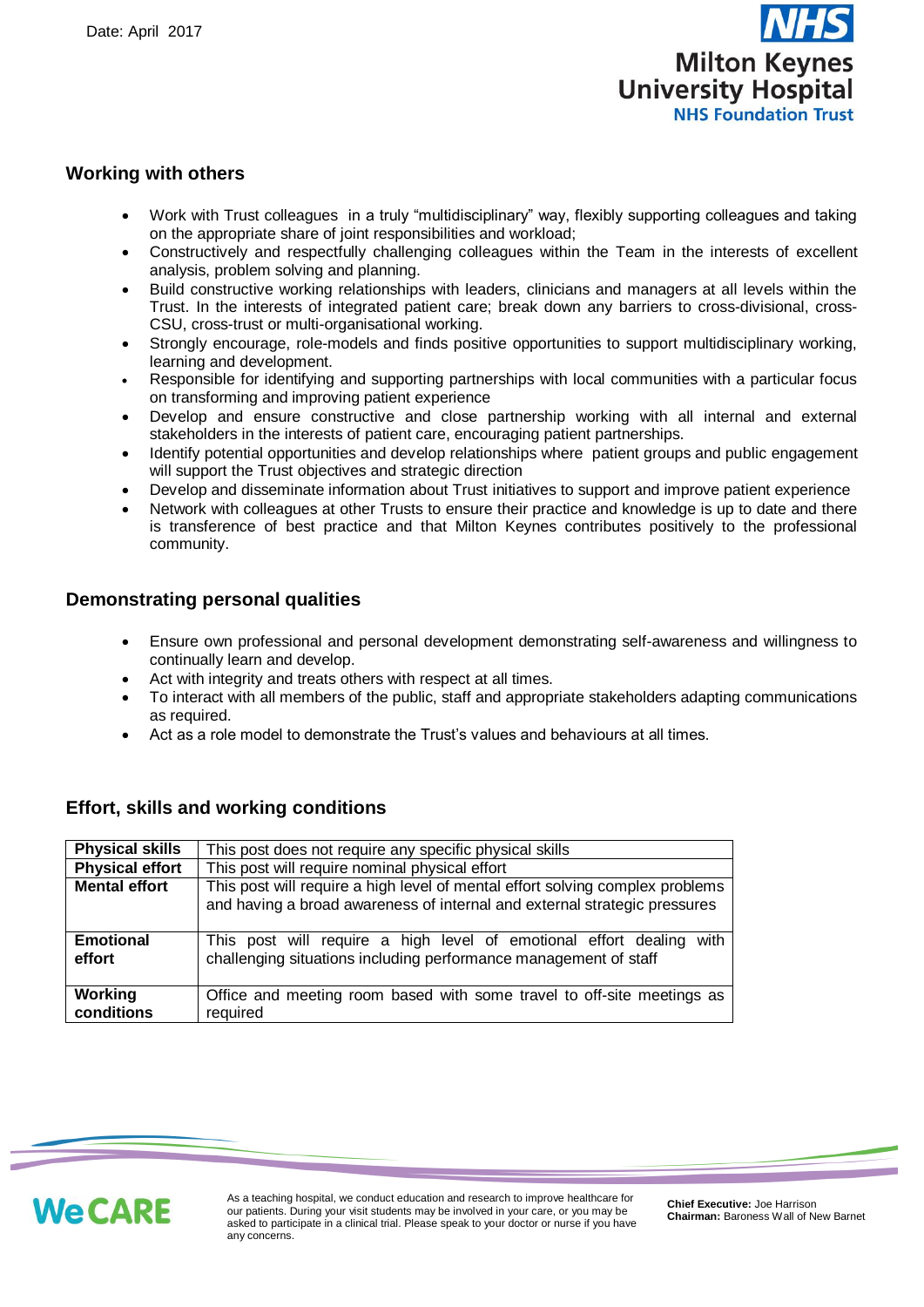

### **Working with others**

- Work with Trust colleagues in a truly "multidisciplinary" way, flexibly supporting colleagues and taking on the appropriate share of joint responsibilities and workload;
- Constructively and respectfully challenging colleagues within the Team in the interests of excellent analysis, problem solving and planning.
- Build constructive working relationships with leaders, clinicians and managers at all levels within the Trust. In the interests of integrated patient care; break down any barriers to cross-divisional, cross-CSU, cross-trust or multi-organisational working.
- Strongly encourage, role-models and finds positive opportunities to support multidisciplinary working, learning and development.
- Responsible for identifying and supporting partnerships with local communities with a particular focus on transforming and improving patient experience
- Develop and ensure constructive and close partnership working with all internal and external stakeholders in the interests of patient care, encouraging patient partnerships.
- Identify potential opportunities and develop relationships where patient groups and public engagement will support the Trust objectives and strategic direction
- Develop and disseminate information about Trust initiatives to support and improve patient experience
- Network with colleagues at other Trusts to ensure their practice and knowledge is up to date and there is transference of best practice and that Milton Keynes contributes positively to the professional community.

### **Demonstrating personal qualities**

- Ensure own professional and personal development demonstrating self-awareness and willingness to continually learn and develop.
- Act with integrity and treats others with respect at all times.
- To interact with all members of the public, staff and appropriate stakeholders adapting communications as required.
- Act as a role model to demonstrate the Trust's values and behaviours at all times.

### **Effort, skills and working conditions**

| <b>Physical skills</b>     | This post does not require any specific physical skills                                                                                                    |  |  |
|----------------------------|------------------------------------------------------------------------------------------------------------------------------------------------------------|--|--|
| <b>Physical effort</b>     | This post will require nominal physical effort                                                                                                             |  |  |
| <b>Mental effort</b>       | This post will require a high level of mental effort solving complex problems<br>and having a broad awareness of internal and external strategic pressures |  |  |
| <b>Emotional</b><br>effort | with<br>This post will require a high level of emotional effort dealing<br>challenging situations including performance management of staff                |  |  |
| Working<br>conditions      | Office and meeting room based with some travel to off-site meetings as<br>required                                                                         |  |  |



4

As a teaching hospital, we conduct education and research to improve healthcare for our patients. During your visit students may be involved in your care, or you may be asked to participate in a clinical trial. Please speak to your doctor or nurse if you have any concerns.

**Chief Executive:** Joe Harrison **Chairman:** Baroness Wall of New Barnet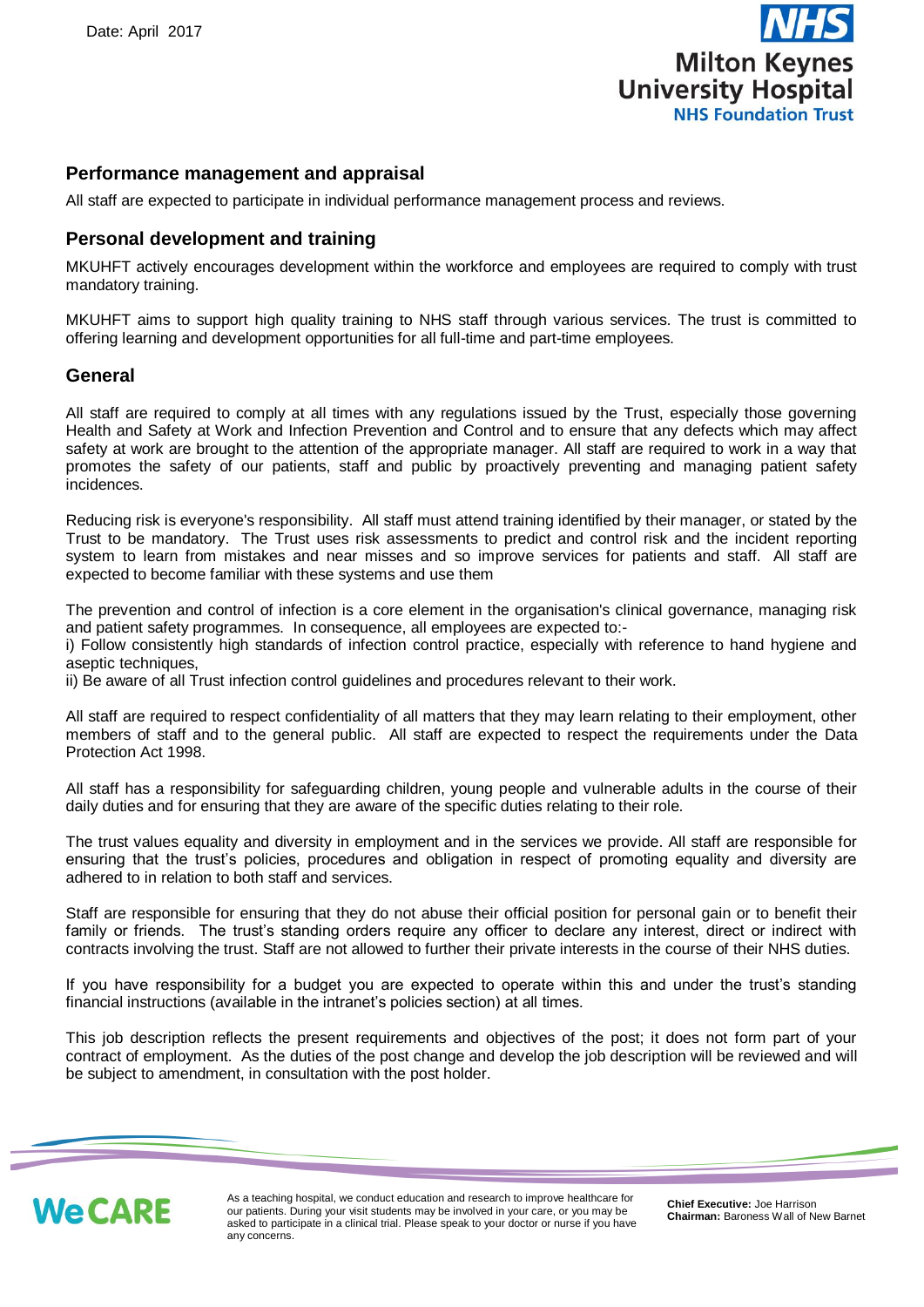

### **Performance management and appraisal**

All staff are expected to participate in individual performance management process and reviews.

#### **Personal development and training**

MKUHFT actively encourages development within the workforce and employees are required to comply with trust mandatory training.

MKUHFT aims to support high quality training to NHS staff through various services. The trust is committed to offering learning and development opportunities for all full-time and part-time employees.

#### **General**

All staff are required to comply at all times with any regulations issued by the Trust, especially those governing Health and Safety at Work and Infection Prevention and Control and to ensure that any defects which may affect safety at work are brought to the attention of the appropriate manager. All staff are required to work in a way that promotes the safety of our patients, staff and public by proactively preventing and managing patient safety incidences.

Reducing risk is everyone's responsibility. All staff must attend training identified by their manager, or stated by the Trust to be mandatory. The Trust uses risk assessments to predict and control risk and the incident reporting system to learn from mistakes and near misses and so improve services for patients and staff. All staff are expected to become familiar with these systems and use them

The prevention and control of infection is a core element in the organisation's clinical governance, managing risk and patient safety programmes. In consequence, all employees are expected to:-

i) Follow consistently high standards of infection control practice, especially with reference to hand hygiene and aseptic techniques.

ii) Be aware of all Trust infection control guidelines and procedures relevant to their work.

All staff are required to respect confidentiality of all matters that they may learn relating to their employment, other members of staff and to the general public. All staff are expected to respect the requirements under the Data Protection Act 1998.

All staff has a responsibility for safeguarding children, young people and vulnerable adults in the course of their daily duties and for ensuring that they are aware of the specific duties relating to their role.

The trust values equality and diversity in employment and in the services we provide. All staff are responsible for ensuring that the trust's policies, procedures and obligation in respect of promoting equality and diversity are adhered to in relation to both staff and services.

Staff are responsible for ensuring that they do not abuse their official position for personal gain or to benefit their family or friends. The trust's standing orders require any officer to declare any interest, direct or indirect with contracts involving the trust. Staff are not allowed to further their private interests in the course of their NHS duties.

If you have responsibility for a budget you are expected to operate within this and under the trust's standing financial instructions (available in the intranet's policies section) at all times.

This job description reflects the present requirements and objectives of the post; it does not form part of your contract of employment. As the duties of the post change and develop the job description will be reviewed and will be subject to amendment, in consultation with the post holder.